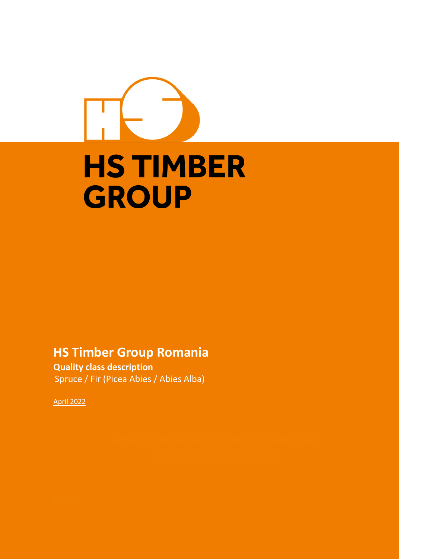# **HS TIMBER GROUP**

# **HS Timber Group Romania**

**Quality class description** Spruce / Fir (Picea Abies / Abies Alba)

April 2022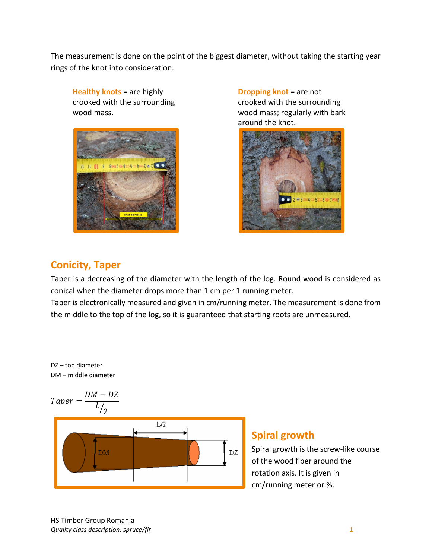The measurement is done on the point of the biggest diameter, without taking the starting year rings of the knot into consideration.

**Healthy knots** = are highly crooked with the surrounding wood mass.



**Dropping knot** = are not crooked with the surrounding wood mass; regularly with bark around the knot.



## **Conicity, Taper**

Taper is a decreasing of the diameter with the length of the log. Round wood is considered as conical when the diameter drops more than 1 cm per 1 running meter.

Taper is electronically measured and given in cm/running meter. The measurement is done from the middle to the top of the log, so it is guaranteed that starting roots are unmeasured.

DZ – top diameter DM – middle diameter



### **Spiral growth**

Spiral growth is the screw-like course of the wood fiber around the rotation axis. It is given in cm/running meter or %.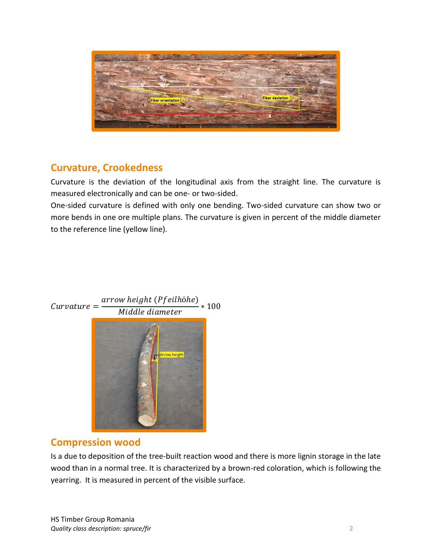

### **Curvature, Crookedness**

Curvature is the deviation of the longitudinal axis from the straight line. The curvature is measured electronically and can be one- or two-sided.

One-sided curvature is defined with only one bending. Two-sided curvature can show two or more bends in one ore multiple plans. The curvature is given in percent of the middle diameter to the reference line (yellow line).



#### $Curvature =$ arrow height (Pfeilhöhe)  $\frac{W}{N}$  100<br>Middle diameter

### **Compression wood**

Is a due to deposition of the tree-built reaction wood and there is more lignin storage in the late wood than in a normal tree. It is characterized by a brown-red coloration, which is following the yearring. It is measured in percent of the visible surface.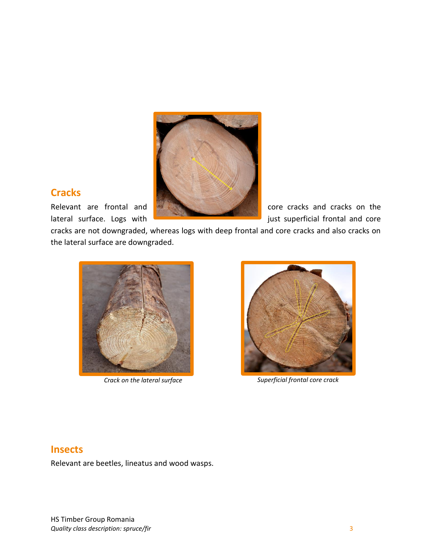

## **Cracks**

cracks are not downgraded, whereas logs with deep frontal and core cracks and also cracks on the lateral surface are downgraded.





*Crack on the lateral surface Superficial frontal core crack* 

### **Insects**

Relevant are beetles, lineatus and wood wasps.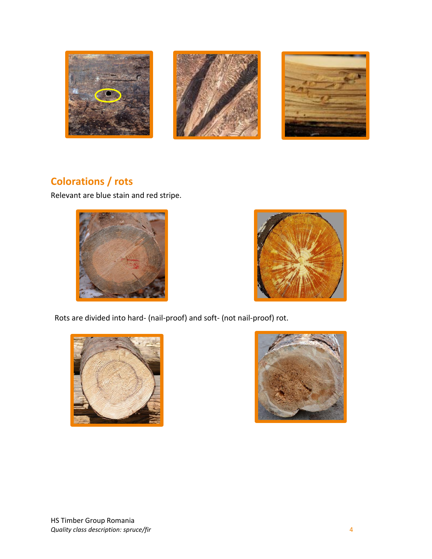





## **Colorations / rots**

Relevant are blue stain and red stripe.





Rots are divided into hard- (nail-proof) and soft- (not nail-proof) rot.



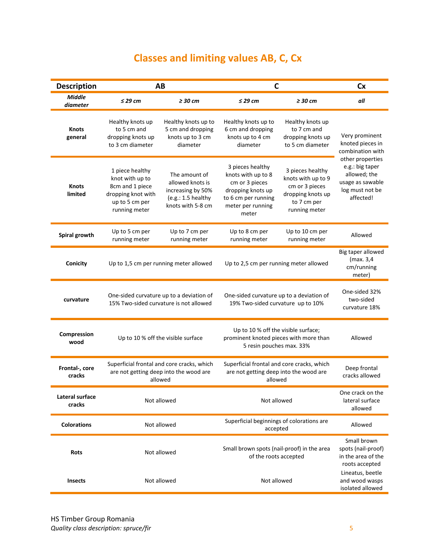# **Classes and limiting values AB, C, Cx**

| <b>Description</b>        | AB                                                                                                             |                                                                                                   | $\mathbf C$                                                                                                                        |                                                                                                               | <b>Cx</b>                                                                                               |
|---------------------------|----------------------------------------------------------------------------------------------------------------|---------------------------------------------------------------------------------------------------|------------------------------------------------------------------------------------------------------------------------------------|---------------------------------------------------------------------------------------------------------------|---------------------------------------------------------------------------------------------------------|
| <b>Middle</b><br>diameter | $\leq$ 29 cm                                                                                                   | $\geq$ 30 cm                                                                                      | $\leq$ 29 cm                                                                                                                       | $\geq$ 30 cm                                                                                                  | all                                                                                                     |
| <b>Knots</b><br>general   | Healthy knots up<br>to 5 cm and<br>dropping knots up<br>to 3 cm diameter                                       | Healthy knots up to<br>5 cm and dropping<br>knots up to 3 cm<br>diameter                          | Healthy knots up to<br>6 cm and dropping<br>knots up to 4 cm<br>diameter                                                           | Healthy knots up<br>to 7 cm and<br>dropping knots up<br>to 5 cm diameter                                      | Very prominent<br>knoted pieces in<br>combination with                                                  |
| <b>Knots</b><br>limited   | 1 piece healthy<br>knot with up to<br>8cm and 1 piece<br>dropping knot with<br>up to 5 cm per<br>running meter | The amount of<br>allowed knots is<br>increasing by 50%<br>(e.g.: 1.5 healthy<br>knots with 5-8 cm | 3 pieces healthy<br>knots with up to 8<br>cm or 3 pieces<br>dropping knots up<br>to 6 cm per running<br>meter per running<br>meter | 3 pieces healthy<br>knots with up to 9<br>cm or 3 pieces<br>dropping knots up<br>to 7 cm per<br>running meter | other properties<br>e.g.: big taper<br>allowed; the<br>usage as sawable<br>log must not be<br>affected! |
| Spiral growth             | Up to 5 cm per<br>running meter                                                                                | Up to 7 cm per<br>running meter                                                                   | Up to 8 cm per<br>running meter                                                                                                    | Up to 10 cm per<br>running meter                                                                              | Allowed                                                                                                 |
| Conicity                  | Up to 1,5 cm per running meter allowed                                                                         |                                                                                                   | Up to 2,5 cm per running meter allowed                                                                                             |                                                                                                               | Big taper allowed<br>(max. 3,4<br>cm/running<br>meter)                                                  |
| curvature                 | One-sided curvature up to a deviation of<br>15% Two-sided curvature is not allowed                             |                                                                                                   | One-sided curvature up to a deviation of<br>19% Two-sided curvature up to 10%                                                      |                                                                                                               | One-sided 32%<br>two-sided<br>curvature 18%                                                             |
| Compression<br>wood       | Up to 10 % off the visible surface                                                                             |                                                                                                   | Up to 10 % off the visible surface;<br>prominent knoted pieces with more than<br>5 resin pouches max. 33%                          |                                                                                                               | Allowed                                                                                                 |
| Frontal-, core<br>cracks  | Superficial frontal and core cracks, which<br>are not getting deep into the wood are<br>allowed                |                                                                                                   | Superficial frontal and core cracks, which<br>are not getting deep into the wood are<br>allowed                                    |                                                                                                               | Deep frontal<br>cracks allowed                                                                          |
| Lateral surface<br>cracks | Not allowed                                                                                                    |                                                                                                   | Not allowed                                                                                                                        |                                                                                                               | One crack on the<br>lateral surface<br>allowed                                                          |
| <b>Colorations</b>        | Not allowed                                                                                                    |                                                                                                   | Superficial beginnings of colorations are<br>accepted                                                                              |                                                                                                               | Allowed                                                                                                 |
| <b>Rots</b>               | Not allowed                                                                                                    |                                                                                                   | Small brown spots (nail-proof) in the area<br>of the roots accepted                                                                |                                                                                                               | Small brown<br>spots (nail-proof)<br>in the area of the<br>roots accepted                               |
| <b>Insects</b>            | Not allowed                                                                                                    |                                                                                                   | Not allowed                                                                                                                        |                                                                                                               | Lineatus, beetle<br>and wood wasps<br>isolated allowed                                                  |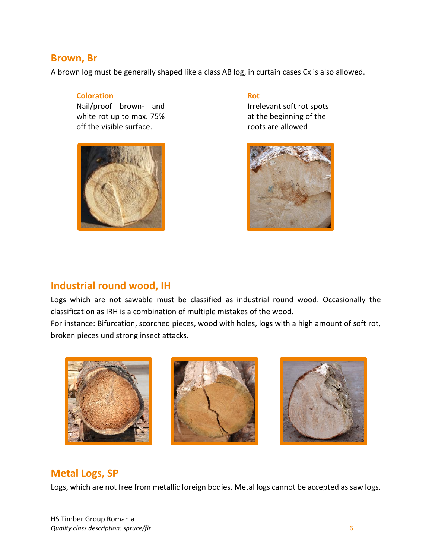#### **Brown, Br**

A brown log must be generally shaped like a class AB log, in curtain cases Cx is also allowed.

#### **Coloration**

Nail/proof brown- and white rot up to max. 75% off the visible surface.



#### **Rot**

Irrelevant soft rot spots at the beginning of the roots are allowed



### **Industrial round wood, IH**

Logs which are not sawable must be classified as industrial round wood. Occasionally the classification as IRH is a combination of multiple mistakes of the wood.

For instance: Bifurcation, scorched pieces, wood with holes, logs with a high amount of soft rot, broken pieces und strong insect attacks.







#### **Metal Logs, SP**

Logs, which are not free from metallic foreign bodies. Metal logs cannot be accepted as saw logs.